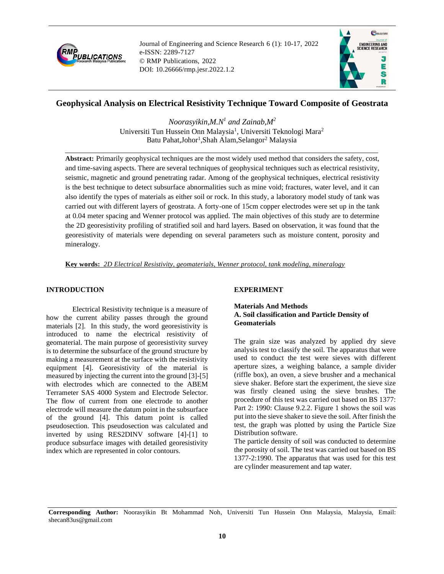

Journal of Engineering and Science Research 6 (1): 10-17, 2022 e-ISSN: 2289-7127 © RMP Publications, 2022 DOI: 10.26666/rmp.jesr.2022.1.2



# **Geophysical Analysis on Electrical Resistivity Technique Toward Composite of Geostrata**

*Noorasyikin,M.N<sup>1</sup> and Zainab,M<sup>2</sup>* Universiti Tun Hussein Onn Malaysia<sup>1</sup>, Universiti Teknologi Mara<sup>2</sup> Batu Pahat,Johor<sup>1</sup>,Shah Alam,Selangor<sup>2</sup> Malaysia

**Abstract:** Primarily geophysical techniques are the most widely used method that considers the safety, cost, and time-saving aspects. There are several techniques of geophysical techniques such as electrical resistivity, seismic, magnetic and ground penetrating radar. Among of the geophysical techniques, electrical resistivity is the best technique to detect subsurface abnormalities such as mine void; fractures, water level, and it can also identify the types of materials as either soil or rock. In this study, a laboratory model study of tank was carried out with different layers of geostrata. A forty-one of 15cm copper electrodes were set up in the tank at 0.04 meter spacing and Wenner protocol was applied. The main objectives of this study are to determine the 2D georesistivity profiling of stratified soil and hard layers. Based on observation, it was found that the georesistivity of materials were depending on several parameters such as moisture content, porosity and mineralogy.

**Key words:** *2D Electrical Resistivity, geomaterials, Wenner protocol, tank modeling, mineralogy*

# **INTRODUCTION**

Electrical Resistivity technique is a measure of how the current ability passes through the ground materials [2]. In this study, the word georesistivity is introduced to name the electrical resistivity of geomaterial. The main purpose of georesistivity survey is to determine the subsurface of the ground structure by making a measurement at the surface with the resistivity equipment [4]. Georesistivity of the material is measured by injecting the current into the ground [3]-[5] with electrodes which are connected to the ABEM Terrameter SAS 4000 System and Electrode Selector. The flow of current from one electrode to another electrode will measure the datum point in the subsurface of the ground [4]. This datum point is called pseudosection. This pseudosection was calculated and inverted by using RES2DINV software [4]-[1] to produce subsurface images with detailed georesistivity index which are represented in color contours.

# **EXPERIMENT**

## **Materials And Methods A. Soil classification and Particle Density of Geomaterials**

The grain size was analyzed by applied dry sieve analysis test to classify the soil. The apparatus that were used to conduct the test were sieves with different aperture sizes, a weighing balance, a sample divider (riffle box), an oven, a sieve brusher and a mechanical sieve shaker. Before start the experiment, the sieve size was firstly cleaned using the sieve brushes. The procedure of this test was carried out based on BS 1377: Part 2: 1990: Clause 9.2.2. Figure 1 shows the soil was put into the sieve shaker to sieve the soil. After finish the test, the graph was plotted by using the Particle Size Distribution software.

The particle density of soil was conducted to determine the porosity of soil. The test was carried out based on BS 1377-2:1990. The apparatus that was used for this test are cylinder measurement and tap water.

**Corresponding Author:** Noorasyikin Bt Mohammad Noh, Universiti Tun Hussein Onn Malaysia, Malaysia, Email: shecan83us@gmail.com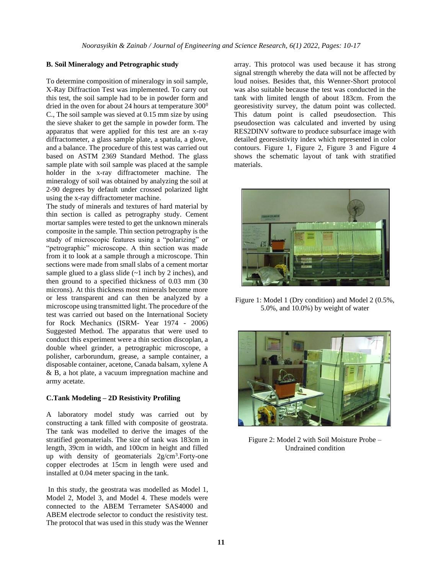### **B. Soil Mineralogy and Petrographic study**

To determine composition of mineralogy in soil sample, X-Ray Diffraction Test was implemented. To carry out this test, the soil sample had to be in powder form and dried in the oven for about 24 hours at temperature  $300^0$ C., The soil sample was sieved at 0.15 mm size by using the sieve shaker to get the sample in powder form. The apparatus that were applied for this test are an x-ray diffractometer, a glass sample plate, a spatula, a glove, and a balance. The procedure of this test was carried out based on ASTM 2369 Standard Method. The glass sample plate with soil sample was placed at the sample holder in the x-ray diffractometer machine. The mineralogy of soil was obtained by analyzing the soil at 2-90 degrees by default under crossed polarized light using the x-ray diffractometer machine.

The study of minerals and textures of hard material by thin section is called as petrography study. Cement mortar samples were tested to get the unknown minerals composite in the sample. Thin section petrography is the study of microscopic features using a "polarizing" or "petrographic" microscope. A thin section was made from it to look at a sample through a microscope. Thin sections were made from small slabs of a cement mortar sample glued to a glass slide  $(-1$  inch by 2 inches), and then ground to a specified thickness of 0.03 mm (30 microns). At this thickness most minerals become more or less transparent and can then be analyzed by a microscope using transmitted light. The procedure of the test was carried out based on the International Society for Rock Mechanics (ISRM- Year 1974 - 2006) Suggested Method. The apparatus that were used to conduct this experiment were a thin section discoplan, a double wheel grinder, a petrographic microscope, a polisher, carborundum, grease, a sample container, a disposable container, acetone, Canada balsam, xylene A & B, a hot plate, a vacuum impregnation machine and army acetate.

### **C.Tank Modeling – 2D Resistivity Profiling**

A laboratory model study was carried out by constructing a tank filled with composite of geostrata. The tank was modelled to derive the images of the stratified geomaterials. The size of tank was 183cm in length, 39cm in width, and 100cm in height and filled up with density of geomaterials 2g/cm<sup>3</sup>. Forty-one copper electrodes at 15cm in length were used and installed at 0.04 meter spacing in the tank.

In this study, the geostrata was modelled as Model 1, Model 2, Model 3, and Model 4. These models were connected to the ABEM Terrameter SAS4000 and ABEM electrode selector to conduct the resistivity test. The protocol that was used in this study was the Wenner array. This protocol was used because it has strong signal strength whereby the data will not be affected by loud noises. Besides that, this Wenner-Short protocol was also suitable because the test was conducted in the tank with limited length of about 183cm. From the georesistivity survey, the datum point was collected. This datum point is called pseudosection. This pseudosection was calculated and inverted by using RES2DINV software to produce subsurface image with detailed georesistivity index which represented in color contours. Figure 1, Figure 2, Figure 3 and Figure 4 shows the schematic layout of tank with stratified materials.



Figure 1: Model 1 (Dry condition) and Model 2 (0.5%, 5.0%, and 10.0%) by weight of water



Figure 2: Model 2 with Soil Moisture Probe – Undrained condition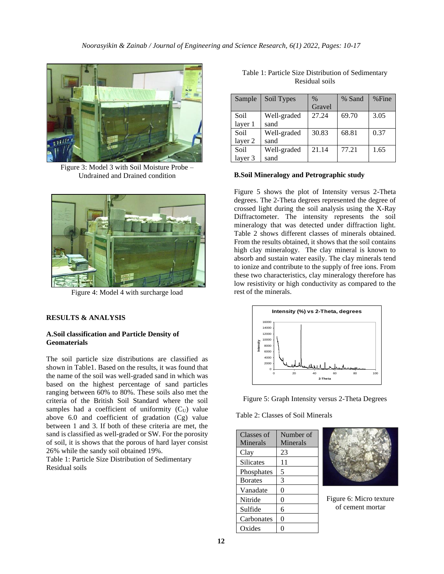

Figure 3: Model 3 with Soil Moisture Probe – Undrained and Drained condition



Figure 4: Model 4 with surcharge load

### **RESULTS & ANALYSIS**

### **A.Soil classification and Particle Density of Geomaterials**

The soil particle size distributions are classified as shown in Table1. Based on the results, it was found that the name of the soil was well-graded sand in which was based on the highest percentage of sand particles ranging between 60% to 80%. These soils also met the criteria of the British Soil Standard where the soil samples had a coefficient of uniformity  $(C_U)$  value above 6.0 and coefficient of gradation (Cg) value between 1 and 3. If both of these criteria are met, the sand is classified as well-graded or SW. For the porosity of soil, it is shows that the porous of hard layer consist 26% while the sandy soil obtained 19%.

Table 1: Particle Size Distribution of Sedimentary Residual soils

| Sample  | Soil Types  | $\frac{0}{0}$ | % Sand | $%$ Fine |
|---------|-------------|---------------|--------|----------|
|         |             | Gravel        |        |          |
| Soil    | Well-graded | 27.24         | 69.70  | 3.05     |
| layer 1 | sand        |               |        |          |
| Soil    | Well-graded | 30.83         | 68.81  | 0.37     |
| layer 2 | sand        |               |        |          |
| Soil    | Well-graded | 21.14         | 77.21  | 1.65     |
| layer 3 | sand        |               |        |          |

| Table 1: Particle Size Distribution of Sedimentary |  |  |  |
|----------------------------------------------------|--|--|--|
| Residual soils                                     |  |  |  |

#### **B.Soil Mineralogy and Petrographic study**

Figure 5 shows the plot of Intensity versus 2-Theta degrees. The 2-Theta degrees represented the degree of crossed light during the soil analysis using the X-Ray Diffractometer. The intensity represents the soil mineralogy that was detected under diffraction light. Table 2 shows different classes of minerals obtained. From the results obtained, it shows that the soil contains high clay mineralogy. The clay mineral is known to absorb and sustain water easily. The clay minerals tend to ionize and contribute to the supply of free ions. From these two characteristics, clay mineralogy therefore has low resistivity or high conductivity as compared to the rest of the minerals.



Figure 5: Graph Intensity versus 2-Theta Degrees

Table 2: Classes of Soil Minerals

| Classes of     | Number of |  |
|----------------|-----------|--|
| Minerals       | Minerals  |  |
| Clay           | 23        |  |
| Silicates      | 11        |  |
| Phosphates     | 5         |  |
| <b>Borates</b> | 3         |  |
| Vanadate       | 0         |  |
| Nitride        | $\theta$  |  |
| Sulfide        | 6         |  |
| Carbonates     | 0         |  |
| Oxides         | ĵ)        |  |



Figure 6: Micro texture of cement mortar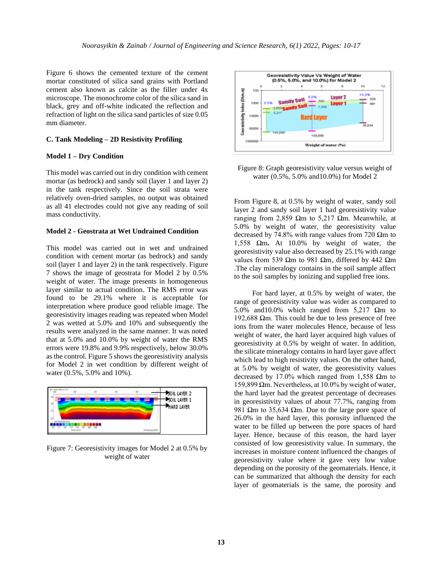Figure 6 shows the cemented texture of the cement mortar constituted of silica sand grains with Portland cement also known as calcite as the filler under 4x microscope. The monochrome color of the silica sand in black, grey and off-white indicated the reflection and refraction of light on the silica sand particles of size 0.05 mm diameter.

#### **C. Tank Modeling – 2D Resistivity Profiling**

#### **Model 1 – Dry Condition**

This model was carried out in dry condition with cement mortar (as bedrock) and sandy soil (layer 1 and layer 2) in the tank respectively. Since the soil strata were relatively oven-dried samples, no output was obtained as all 41 electrodes could not give any reading of soil mass conductivity.

#### **Model 2 - Geostrata at Wet Undrained Condition**

This model was carried out in wet and undrained condition with cement mortar (as bedrock) and sandy soil (layer 1 and layer 2) in the tank respectively. Figure 7 shows the image of geostrata for Model 2 by 0.5% weight of water. The image presents in homogeneous layer similar to actual condition. The RMS error was found to be 29.1% where it is acceptable for interpretation where produce good reliable image. The georesistivity images reading was repeated when Model 2 was wetted at 5.0% and 10% and subsequently the results were analyzed in the same manner. It was noted that at 5.0% and 10.0% by weight of water the RMS errors were 19.8% and 9.9% respectively, below 30.0% as the control. Figure 5 shows the georesistivity analysis for Model 2 in wet condition by different weight of water (0.5%, 5.0% and 10%).



Figure 7: Georesistivity images for Model 2 at 0.5% by weight of water



Figure 8: Graph georesistivity value versus weight of water (0.5%, 5.0% and10.0%) for Model 2

From Figure 8, at 0.5% by weight of water, sandy soil layer 2 and sandy soil layer 1 had georesistivity value ranging from 2,859 Ωm to 5,217 Ωm. Meanwhile, at 5.0% by weight of water, the georesistivity value decreased by 74.8% with range values from 720  $\Omega$ m to 1,558 Ωm**.** At 10.0% by weight of water, the georesistivity value also decreased by 25.1% with range values from 539 Ωm to 981 Ωm, differed by 442 Ωm .The clay mineralogy contains in the soil sample affect to the soil samples by ionizing and supplied free ions.

 For hard layer, at 0.5% by weight of water, the range of georesistivity value was wider as compared to 5.0% and 10.0% which ranged from 5,217  $\Omega$ m to 192,688 Ωm. This could be due to less presence of free ions from the water molecules Hence, because of less weight of water, the hard layer acquired high values of georesistivity at 0.5% by weight of water. In addition, the silicate mineralogy contains in hard layer gave affect which lead to high resistivity values. On the other hand, at 5.0% by weight of water, the georesistivity values decreased by 17.0% which ranged from 1,558 Ωm to 159,899 Ωm. Nevertheless, at 10.0% by weight of water, the hard layer had the greatest percentage of decreases in georesistivity values of about 77.7%, ranging from 981 Ωm to 35,634 Ωm. Due to the large pore space of 26.0% in the hard layer, this porosity influenced the water to be filled up between the pore spaces of hard layer. Hence, because of this reason, the hard layer consisted of low georesistivity value. In summary, the increases in moisture content influenced the changes of georesistivity value where it gave very low value depending on the porosity of the geomaterials. Hence, it can be summarized that although the density for each layer of geomaterials is the same, the porosity and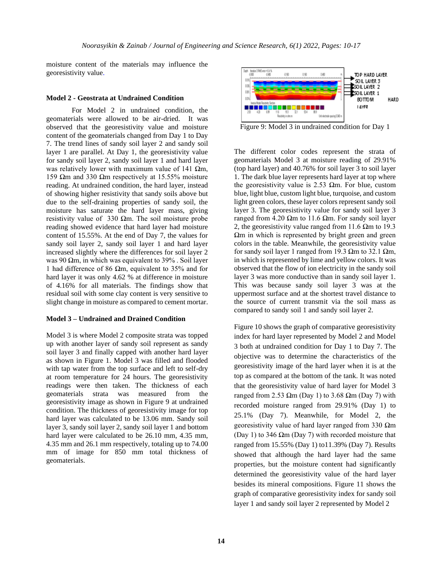moisture content of the materials may influence the georesistivity value.

#### **Model 2 - Geostrata at Undrained Condition**

 For Model 2 in undrained condition, the geomaterials were allowed to be air-dried. It was observed that the georesistivity value and moisture content of the geomaterials changed from Day 1 to Day 7. The trend lines of sandy soil layer 2 and sandy soil layer 1 are parallel. At Day 1, the georesistivity value for sandy soil layer 2, sandy soil layer 1 and hard layer was relatively lower with maximum value of 141  $\Omega$ m, 159 Ωm and 330 Ωm respectively at 15.55% moisture reading. At undrained condition, the hard layer, instead of showing higher resistivity that sandy soils above but due to the self-draining properties of sandy soil, the moisture has saturate the hard layer mass, giving resistivity value of 330  $\Omega$ m. The soil moisture probe reading showed evidence that hard layer had moisture content of 15.55%. At the end of Day 7, the values for sandy soil layer 2, sandy soil layer 1 and hard layer increased slightly where the differences for soil layer 2 was 90  $\Omega$ m, in which was equivalent to 39% . Soil layer 1 had difference of 86  $\Omega$ m, equivalent to 35% and for hard layer it was only 4.62 % at difference in moisture of 4.16% for all materials. The findings show that residual soil with some clay content is very sensitive to slight change in moisture as compared to cement mortar.

### **Model 3 – Undrained and Drained Condition**

Model 3 is where Model 2 composite strata was topped up with another layer of sandy soil represent as sandy soil layer 3 and finally capped with another hard layer as shown in Figure 1. Model 3 was filled and flooded with tap water from the top surface and left to self-dry at room temperature for 24 hours. The georesistivity readings were then taken. The thickness of each geomaterials strata was measured from the georesistivity image as shown in Figure 9 at undrained condition. The thickness of georesistivity image for top hard layer was calculated to be 13.06 mm. Sandy soil layer 3, sandy soil layer 2, sandy soil layer 1 and bottom hard layer were calculated to be 26.10 mm, 4.35 mm, 4.35 mm and 26.1 mm respectively, totaling up to 74.00 mm of image for 850 mm total thickness of geomaterials.



Figure 9: Model 3 in undrained condition for Day 1

The different color codes represent the strata of geomaterials Model 3 at moisture reading of 29.91% (top hard layer) and 40.76% for soil layer 3 to soil layer 1. The dark blue layer represents hard layer at top where the georesistivity value is 2.53  $\Omega$ m. For blue, custom blue, light blue, custom light blue, turquoise, and custom light green colors, these layer colors represent sandy soil layer 3. The georesistivity value for sandy soil layer 3 ranged from 4.20 Ωm to 11.6 Ωm. For sandy soil layer 2, the georesistivity value ranged from 11.6  $\Omega$ m to 19.3  $\Omega$ m in which is represented by bright green and green colors in the table. Meanwhile, the georesistivity value for sandy soil layer 1 ranged from 19.3  $\Omega$ m to 32.1  $\Omega$ m, in which is represented by lime and yellow colors. It was observed that the flow of ion electricity in the sandy soil layer 3 was more conductive than in sandy soil layer 1. This was because sandy soil layer 3 was at the uppermost surface and at the shortest travel distance to the source of current transmit via the soil mass as compared to sandy soil 1 and sandy soil layer 2.

Figure 10 shows the graph of comparative georesistivity index for hard layer represented by Model 2 and Model 3 both at undrained condition for Day 1 to Day 7. The objective was to determine the characteristics of the georesistivity image of the hard layer when it is at the top as compared at the bottom of the tank. It was noted that the georesistivity value of hard layer for Model 3 ranged from 2.53  $\Omega$ m (Day 1) to 3.68  $\Omega$ m (Day 7) with recorded moisture ranged from 29.91% (Day 1) to 25.1% (Day 7). Meanwhile, for Model 2, the georesistivity value of hard layer ranged from 330  $\Omega$ m (Day 1) to 346  $\Omega$ m (Day 7) with recorded moisture that ranged from 15.55% (Day 1) to11.39% (Day 7). Results showed that although the hard layer had the same properties, but the moisture content had significantly determined the georesistivity value of the hard layer besides its mineral compositions. Figure 11 shows the graph of comparative georesistivity index for sandy soil layer 1 and sandy soil layer 2 represented by Model 2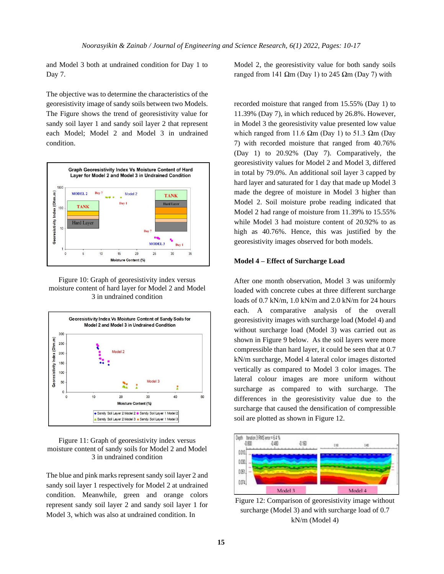and Model 3 both at undrained condition for Day 1 to Day 7.

The objective was to determine the characteristics of the georesistivity image of sandy soils between two Models. The Figure shows the trend of georesistivity value for sandy soil layer 1 and sandy soil layer 2 that represent each Model; Model 2 and Model 3 in undrained condition.



Figure 10: Graph of georesistivity index versus moisture content of hard layer for Model 2 and Model 3 in undrained condition



### Figure 11: Graph of georesistivity index versus moisture content of sandy soils for Model 2 and Model 3 in undrained condition

The blue and pink marks represent sandy soil layer 2 and sandy soil layer 1 respectively for Model 2 at undrained condition. Meanwhile, green and orange colors represent sandy soil layer 2 and sandy soil layer 1 for Model 3, which was also at undrained condition. In

Model 2, the georesistivity value for both sandy soils ranged from 141 Ωm (Day 1) to 245 Ωm (Day 7) with

recorded moisture that ranged from 15.55% (Day 1) to 11.39% (Day 7), in which reduced by 26.8%. However, in Model 3 the georesistivity value presented low value which ranged from 11.6  $\Omega$ m (Day 1) to 51.3  $\Omega$ m (Day 7) with recorded moisture that ranged from 40.76% (Day 1) to 20.92% (Day 7). Comparatively, the georesistivity values for Model 2 and Model 3, differed in total by 79.0%. An additional soil layer 3 capped by hard layer and saturated for 1 day that made up Model 3 made the degree of moisture in Model 3 higher than Model 2. Soil moisture probe reading indicated that Model 2 had range of moisture from 11.39% to 15.55% while Model 3 had moisture content of 20.92% to as high as 40.76%. Hence, this was justified by the georesistivity images observed for both models.

#### **Model 4 – Effect of Surcharge Load**

After one month observation, Model 3 was uniformly loaded with concrete cubes at three different surcharge loads of 0.7 kN/m, 1.0 kN/m and 2.0 kN/m for 24 hours each. A comparative analysis of the overall georesistivity images with surcharge load (Model 4) and without surcharge load (Model 3) was carried out as shown in Figure 9 below. As the soil layers were more compressible than hard layer, it could be seen that at 0.7 kN/m surcharge, Model 4 lateral color images distorted vertically as compared to Model 3 color images. The lateral colour images are more uniform without surcharge as compared to with surcharge. The differences in the georesistivity value due to the surcharge that caused the densification of compressible soil are plotted as shown in Figure 12.



Figure 12: Comparison of georesistivity image without surcharge (Model 3) and with surcharge load of 0.7 kN/m (Model 4)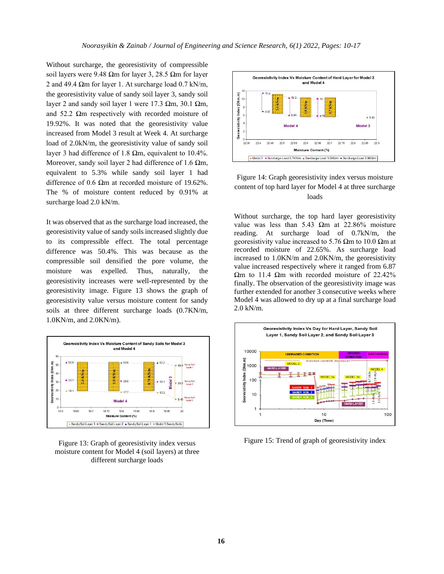Without surcharge, the georesistivity of compressible soil layers were 9.48 Ωm for layer 3, 28.5 Ωm for layer 2 and 49.4  $\Omega$ m for layer 1. At surcharge load 0.7 kN/m, the georesistivity value of sandy soil layer 3, sandy soil layer 2 and sandy soil layer 1 were 17.3 Ωm, 30.1 Ωm, and 52.2  $\Omega$ m respectively with recorded moisture of 19.92%. It was noted that the georesistivity value increased from Model 3 result at Week 4. At surcharge load of 2.0kN/m, the georesistivity value of sandy soil layer 3 had difference of 1.8 Ωm, equivalent to 10.4%. Moreover, sandy soil layer 2 had difference of 1.6  $\Omega$ m, equivalent to 5.3% while sandy soil layer 1 had difference of 0.6 Ωm at recorded moisture of 19.62%. The % of moisture content reduced by 0.91% at surcharge load 2.0 kN/m.

It was observed that as the surcharge load increased, the georesistivity value of sandy soils increased slightly due to its compressible effect. The total percentage difference was 50.4%. This was because as the compressible soil densified the pore volume, the moisture was expelled. Thus, naturally, the georesistivity increases were well-represented by the georesistivity image. Figure 13 shows the graph of georesistivity value versus moisture content for sandy soils at three different surcharge loads (0.7KN/m, 1.0KN/m, and 2.0KN/m).







# Figure 14: Graph georesistivity index versus moisture content of top hard layer for Model 4 at three surcharge loads

Without surcharge, the top hard layer georesistivity value was less than 5.43  $\Omega$ m at 22.86% moisture reading. At surcharge load of 0.7kN/m, the georesistivity value increased to 5.76  $\Omega$ m to 10.0  $\Omega$ m at recorded moisture of 22.65%. As surcharge load increased to 1.0KN/m and 2.0KN/m, the georesistivity value increased respectively where it ranged from 6.87 Ωm to 11.4 Ωm with recorded moisture of 22.42% finally. The observation of the georesistivity image was further extended for another 3 consecutive weeks where Model 4 was allowed to dry up at a final surcharge load 2.0 kN/m.



Figure 15: Trend of graph of georesistivity index